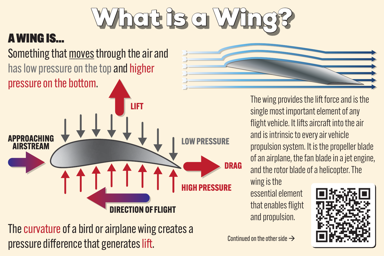## What is a Wing?

## A WING IS…

## Something that moves through the air and has low pressure on the top and higher pressure on the bottom.



The curvature of a bird or airplane wing creates a pressure difference that generates lift.  $\lim_{x \to a}$  continued on the other side  $\rightarrow$ 



The wing provides the lift force and is the single most important element of any flight vehicle. It lifts aircraft into the air and is intrinsic to every air vehicle propulsion system. It is the propeller blade of an airplane, the fan blade in a jet engine, and the rotor blade of a helicopter. The

wing is the

essential element that enables flight and propulsion.